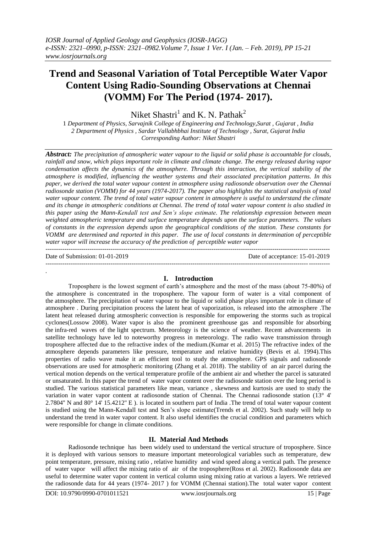# **Trend and Seasonal Variation of Total Perceptible Water Vapor Content Using Radio-Sounding Observations at Chennai (VOMM) For The Period (1974- 2017).**

Niket Shastri<sup>1</sup> and K. N. Pathak<sup>2</sup>

1 *Department of Physics, Sarvajnik College of Engineering and Technology,Surat , Gujarat , India 2 Department of Physics , Sardar Vallabhbhai Institute of Technology , Surat, Gujarat India Corresponding Author: Niket Shastri*

*Abstract: The precipitation of atmospheric water vapour to the liquid or solid phase is accountable for clouds, rainfall and snow, which plays important role in climate and climate change. The energy released during vapor condensation affects the dynamics of the atmosphere. Through this interaction, the vertical stability of the atmosphere is modified, influencing the weather systems and their associated precipitation patterns. In this paper, we derived the total water vapour content in atmosphere using radiosonde observation over the Chennai radiosonde station (VOMM) for 44 years (1974-2017). The paper also highlights the statistical analysis of total water vapour content. The trend of total water vapour content in atmosphere is useful to understand the climate and its change in atmospheric conditions at Chennai. The trend of total water vapour content is also studied in this paper using the Mann-Kendall test and Sen's slope estimate. The relationship expression between mean weighted atmospheric temperature and surface temperature depends upon the surface parameters. The values of constants in the expression depends upon the geographical conditions of the station. These constants for VOMM are determined and reported in this paper. The use of local constants in determination of perceptible water vapor will increase the accuracy of the prediction of perceptible water vapor* ---------------------------------------------------------------------------------------------------------------------------------------

*.*

---------------------------------------------------------------------------------------------------------------------------------------

Date of Submission: 01-01-2019 Date of acceptance: 15-01-2019

## **I. Introduction**

Troposphere is the lowest segment of earth's atmosphere and the most of the mass (about 75-80%) of the atmosphere is concentrated in the troposphere. The vapour form of water is a vital component of the atmosphere. The precipitation of water vapour to the liquid or solid phase plays important role in climate of atmosphere . During precipitation process the latent heat of vaporization, is released into the atmosphere .The latent heat released during atmospheric convection is responsible for empowering the storms such as tropical cyclones(Lossow 2008). Water vapor is also the prominent greenhouse gas and responsible for absorbing the infra-red waves of the light spectrum. Meteorology is the science of weather. Recent advancements in satellite technology have led to noteworthy progress in meteorology. The radio wave transmission through troposphere affected due to the refractive index of the medium.(Kumar et al. 2015) The refractive index of the atmosphere depends parameters like pressure, temperature and relative humidity (Bevis et al. 1994).This properties of radio wave make it an efficient tool to study the atmosphere. GPS signals and radiosonde observations are used for atmospheric monitoring (Zhang et al. 2018). The stability of an air parcel during the vertical motion depends on the vertical temperature profile of the ambient air and whether the parcel is saturated or unsaturated. In this paper the trend of water vapor content over the radiosonde station over the long period is studied. The various statistical parameters like mean, variance , skewness and kurtosis are used to study the variation in water vapor content at radiosonde station of Chennai. The Chennai radiosonde station (13° 4' 2.7804'' N and 80° 14' 15.4212'' E ). is located in southern part of India .The trend of total water vapour content is studied using the Mann-Kendall test and Sen's slope estimate(Trends et al. 2002). Such study will help to understand the trend in water vapor content. It also useful identifies the crucial condition and parameters which were responsible for change in climate conditions.

## **II. Material And Methods**

Radiosonde technique has been widely used to understand the vertical structure of troposphere. Since it is deployed with various sensors to measure important meteorological variables such as temperature, dew point temperature, pressure, mixing ratio , relative humidity and wind speed along a vertical path. The presence of water vapor will affect the mixing ratio of air of the troposphere(Ross et al. 2002). Radiosonde data are useful to determine water vapor content in vertical column using mixing ratio at various a layers. We retrieved the radiosonde data for 44 years (1974- 2017 ) for VOMM (Chennai station).The total water vapor content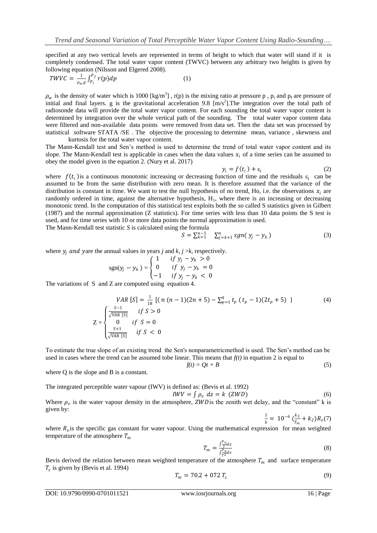specified at any two vertical levels are represented in terms of height to which that water will stand if it is completely condensed. The total water vapor content (TWVC) between any arbitrary two heights is given by following equation (Nilsson and Elgered 2008).

$$
TWVC = \frac{1}{\rho_w g} \int_{P_i}^{P_f} r(p) dp \tag{1}
$$

 $\rho_w$  is the density of water which is 1000 [kg/m<sup>3</sup>], r(p) is the mixing ratio at pressure p, p<sub>i</sub> and p<sub>f</sub> are pressure of initial and final layers. g is the gravitational acceleration 9.8  $[m/s<sup>2</sup>].$  The integration over the total path of radiosonde data will provide the total water vapor content. For each sounding the total water vapor content is determined by integration over the whole vertical path of the sounding. The total water vapor content data were filtered and non-available data points were removed from data set. Then the data set was processed by statistical software STATA /SE . The objective the processing to determine mean, variance , skewness and kurtosis for the total water vapor content.

The Mann-Kendall test and Sen's method is used to determine the trend of total water vapor content and its slope. The Mann-Kendall test is applicable in cases when the data values  $x_i$  of a time series can be assumed to obey the model given in the equation 2. (Nury et al. 2017)

$$
y_i = f(t_i) + \varepsilon_i \tag{2}
$$

where  $f(t_i)$  is a continuous monotonic increasing or decreasing function of time and the residuals  $\varepsilon_i$  can be assumed to be from the same distribution with zero mean. It is therefore assumed that the variance of the distribution is constant in time. We want to test the null hypothesis of no trend, Ho, i.e. the observations  $x_i$  are randomly ordered in time, against the alternative hypothesis,  $H_1$ , where there is an increasing or decreasing monotonic trend. In the computation of this statistical test exploits both the so called S statistics given in Gilbert (1987) and the normal approximation (Z statistics). For time series with less than 10 data points the S test is used, and for time series with 10 or more data points the normal approximation is used.

The Mann-Kendall test statistic *S* is calculated using the formula

$$
S = \sum_{k=1}^{n-1} \sum_{j=k+1}^{n} sgn(y_j - y_k)
$$
 (3)

where  $y_i$  *and yare the annual values in years j and*  $k$ *, j >k*, respectively.

$$
sgn(y_j - y_k) = \begin{cases} 1 & \text{if } y_j - y_k > 0 \\ 0 & \text{if } y_j - y_k = 0 \\ -1 & \text{if } y_j - y_k < 0 \end{cases}
$$

The variations of S and Z are computed using equation 4.

$$
VAR [S] = \frac{1}{18} [(n (n-1)(2n+5) - \sum_{p=1}^{q} t_p (t_p - 1)(2t_p + 5)]
$$
(4)  

$$
Z = \begin{cases} \frac{S-1}{\sqrt{VAR [S]}} & \text{if } S > 0\\ 0 & \text{if } S = 0\\ \frac{S+1}{\sqrt{VAR [S]}} & \text{if } S < 0 \end{cases}
$$

To estimate the true slope of an existing trend the Sen's nonparametricmethod is used. The Sen's method can be used in cases where the trend can be assumed tobe linear. This means that  $f(t)$  in equation 2 is equal to

$$
f(t) = Qt + B \tag{5}
$$

where Q is the slope and B is a constant.

The integrated perceptible water vapour (IWV) is defined as: (Bevis et al. 1992)

$$
IWV = \int \rho_v \ dz = k \ (ZWD) \tag{6}
$$

Where  $\rho_v$  is the water vapour density in the atmosphere, ZWD is the zenith wet delay, and the "constant" k is given by:

$$
\frac{1}{k} = 10^{-6} \left( \frac{k_3}{T_m} + k_2 \right) R_v(7)
$$

where  $R_v$  is the specific gas constant for water vapour. Using the mathematical expression for mean weighted temperature of the atmosphere  $T_m$ 

$$
T_m = \frac{\int \frac{P_y}{T} dz}{\int \frac{P_y}{T} dz} \tag{8}
$$

Bevis derived the relation between mean weighted temperature of the atmosphere  $T_m$  and surface temperature  $T_s$  is given by (Bevis et al. 1994)

$$
T_m = 70.2 + 072 T_s \tag{9}
$$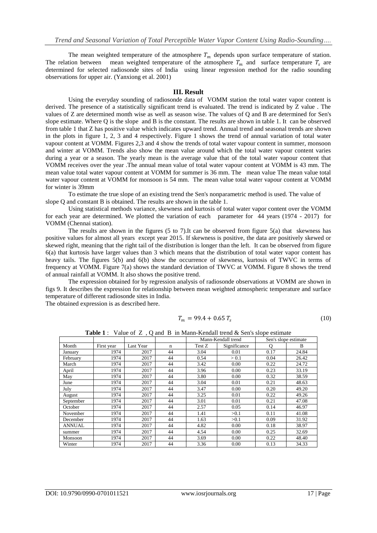The mean weighted temperature of the atmosphere  $T_m$  depends upon surface temperature of station. The relation between mean weighted temperature of the atmosphere  $T_m$  and surface temperature  $T_s$  are determined for selected radiosonde sites of India using linear regression method for the radio sounding observations for upper air. (Yanxiong et al. 2001)

### **III. Result**

Using the everyday sounding of radiosonde data of VOMM station the total water vapor content is derived. The presence of a statistically significant trend is evaluated. The trend is indicated by Z value . The values of Z are determined month wise as well as season wise. The values of Q and B are determined for Sen's slope estimate. Where Q is the slope and B is the constant. The results are shown in table 1. It can be observed from table 1 that Z has positive value which indicates upward trend. Annual trend and seasonal trends are shown in the plots in figure 1, 2, 3 and 4 respectively. Figure 1 shows the trend of annual variation of total water vapour content at VOMM. Figures 2,3 and 4 show the trends of total water vapour content in summer, monsoon and winter at VOMM. Trends also show the mean value around which the total water vapour content varies during a year or a season. The yearly mean is the average value that of the total water vapour content that VOMM receives over the year .The annual mean value of total water vapour content at VOMM is 43 mm. The mean value total water vapour content at VOMM for summer is 36 mm. The mean value The mean value total water vapour content at VOMM for monsoon is 54 mm. The mean value total water vapour content at VOMM for winter is 39mm

To estimate the true slope of an existing trend the Sen's nonparametric method is used. The value of slope Q and constant B is obtained. The results are shown in the table 1.

Using statistical methods variance, skewness and kurtosis of total water vapor content over the VOMM for each year are determined. We plotted the variation of each parameter for 44 years (1974 - 2017) for VOMM (Chennai station).

The results are shown in the figures (5 to 7).It can be observed from figure 5(a) that skewness has positive values for almost all years except year 2015. If skewness is positive, the data are positively skewed or skewed right, meaning that the right tail of the distribution is longer than the left. It can be observed from figure 6(a) that kurtosis have larger values than 3 which means that the distribution of total water vapor content has heavy tails. The figures 5(b) and 6(b) show the occurrence of skewness, kurtosis of TWVC in terms of frequency at VOMM. Figure 7(a) shows the standard deviation of TWVC at VOMM. Figure 8 shows the trend of annual rainfall at VOMM. It also shows the positive trend.

The expression obtained for by regression analysis of radiosonde observations at VOMM are shown in figs 9. It describes the expression for relationship between mean weighted atmospheric temperature and surface temperature of different radiosonde sites in India.

The obtained expression is as described here.

$$
T_m = 99.4 + 0.65 T_s \tag{10}
$$

|               |            |           |             | Mann-Kendall trend |              | Sen's slope estimate |       |
|---------------|------------|-----------|-------------|--------------------|--------------|----------------------|-------|
| Month         | First year | Last Year | $\mathbf n$ | Test Z             | Significance | O                    | B     |
| January       | 1974       | 2017      | 44          | 3.04               | 0.01         | 0.17                 | 24.84 |
| February      | 1974       | 2017      | 44          | 0.54               | > 0.1        | 0.04                 | 26.42 |
| March         | 1974       | 2017      | 44          | 3.42               | 0.00         | 0.22                 | 24.72 |
| April         | 1974       | 2017      | 44          | 3.96               | 0.00         | 0.23                 | 33.19 |
| May           | 1974       | 2017      | 44          | 3.80               | 0.00         | 0.32                 | 38.59 |
| June          | 1974       | 2017      | 44          | 3.04               | 0.01         | 0.21                 | 48.63 |
| July          | 1974       | 2017      | 44          | 3.47               | 0.00         | 0.20                 | 49.20 |
| August        | 1974       | 2017      | 44          | 3.25               | 0.01         | 0.22                 | 49.26 |
| September     | 1974       | 2017      | 44          | 3.01               | 0.01         | 0.21                 | 47.08 |
| October       | 1974       | 2017      | 44          | 2.57               | 0.05         | 0.14                 | 46.97 |
| November      | 1974       | 2017      | 44          | 1.41               | >0.1         | 0.11                 | 41.08 |
| December      | 1974       | 2017      | 44          | 1.63               | >0.1         | 0.09                 | 31.92 |
| <b>ANNUAL</b> | 1974       | 2017      | 44          | 4.82               | 0.00         | 0.18                 | 38.97 |
| summer        | 1974       | 2017      | 44          | 4.54               | 0.00         | 0.25                 | 32.69 |
| Monsoon       | 1974       | 2017      | 44          | 3.69               | 0.00         | 0.22                 | 48.40 |
| Winter        | 1974       | 2017      | 44          | 3.36               | 0.00         | 0.13                 | 34.33 |

**Table 1** : Value of Z, Q and B in Mann-Kendall trend & Sen's slope estimate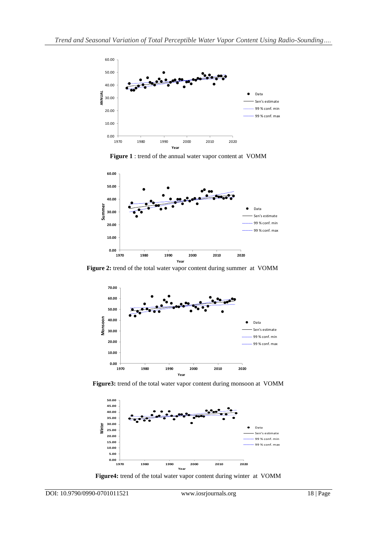

**Figure 1** : trend of the annual water vapor content at VOMM



**Figure 2:** trend of the total water vapor content during summer at VOMM



**Figure3:** trend of the total water vapor content during monsoon at VOMM



**Figure4:** trend of the total water vapor content during winter at VOMM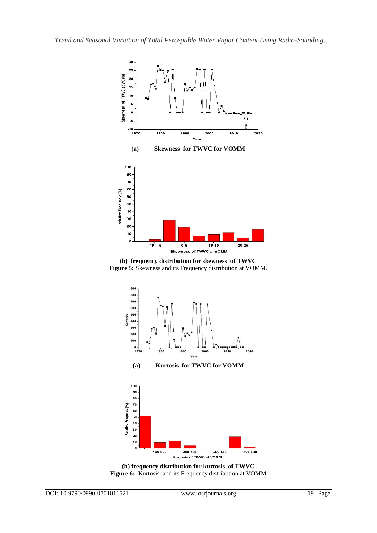





**(b) frequency distribution for kurtosis of TWVC Figure 6:** Kurtosis and its Frequency distribution at VOMM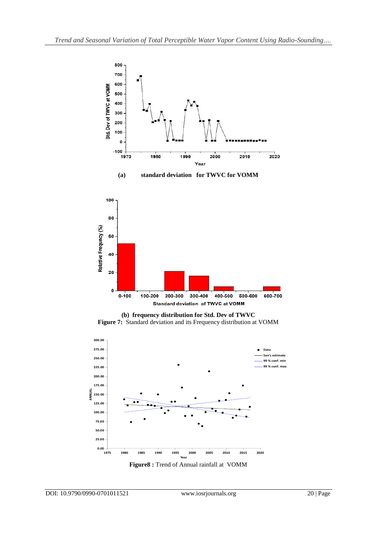





**(b) frequency distribution for Std. Dev of TWVC Figure 7:** Standard deviation and its Frequency distribution at VOMM



**Figure8 :** Trend of Annual rainfall at VOMM